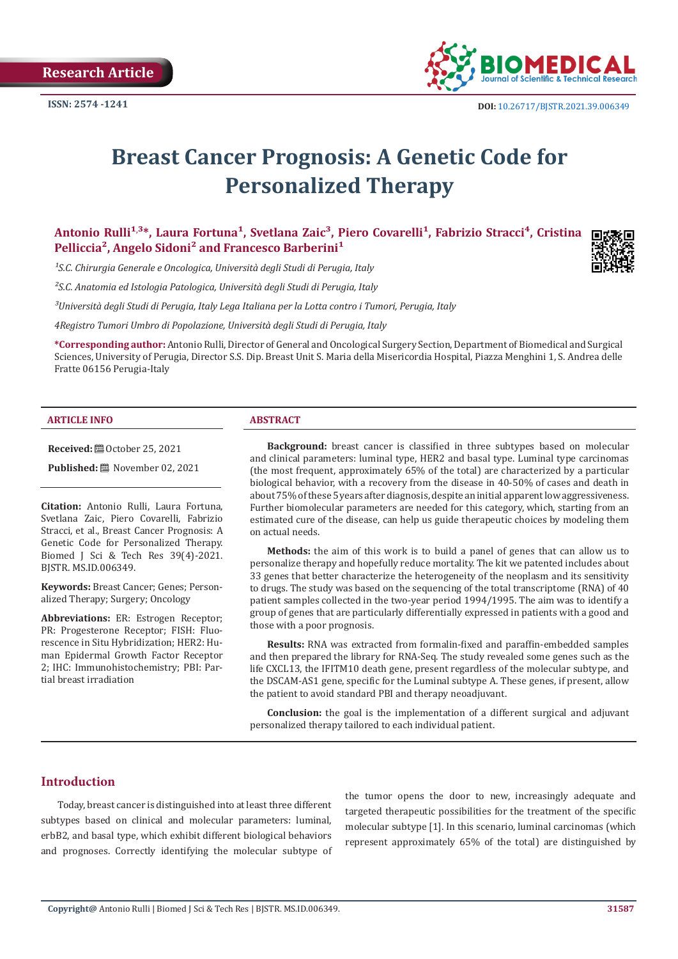

# **Breast Cancer Prognosis: A Genetic Code for Personalized Therapy**

Antonio Rulli<sup>1,3</sup>\*, Laura Fortuna<sup>1</sup>, Svetlana Zaic<sup>3</sup>, Piero Covarelli<sup>1</sup>, Fabrizio Stracci<sup>4</sup>, Cristina Pelliccia<sup>2</sup>, Angelo Sidoni<sup>2</sup> and Francesco Barberini<sup>1</sup>

<sup>1</sup>S.C. Chirurgia Generale e Oncologica, Università degli Studi di Perugia, Italy

*²S.C. Anatomia ed Istologia Patologica, Università degli Studi di Perugia, Italy*

*³Università degli Studi di Perugia, Italy Lega Italiana per la Lotta contro i Tumori, Perugia, Italy*

*4Registro Tumori Umbro di Popolazione, Università degli Studi di Perugia, Italy*

**\*Corresponding author:** Antonio Rulli, Director of General and Oncological Surgery Section, Department of Biomedical and Surgical Sciences, University of Perugia, Director S.S. Dip. Breast Unit S. Maria della Misericordia Hospital, Piazza Menghini 1, S. Andrea delle Fratte 06156 Perugia-Italy

#### **ARTICLE INFO ABSTRACT**

**Received:** ■ October 25, 2021

**Published:** ■ November 02, 2021

**Citation:** Antonio Rulli, Laura Fortuna, Svetlana Zaic, Piero Covarelli, Fabrizio Stracci, et al., Breast Cancer Prognosis: A Genetic Code for Personalized Therapy. Biomed J Sci & Tech Res 39(4)-2021. BJSTR. MS.ID.006349.

**Keywords:** Breast Cancer; Genes; Personalized Therapy; Surgery; Oncology

**Abbreviations:** ER: Estrogen Receptor; PR: Progesterone Receptor; FISH: Fluorescence in Situ Hybridization; HER2: Human Epidermal Growth Factor Receptor 2; IHC: Immunohistochemistry; PBI: Partial breast irradiation

**Background:** breast cancer is classified in three subtypes based on molecular and clinical parameters: luminal type, HER2 and basal type. Luminal type carcinomas (the most frequent, approximately 65% of the total) are characterized by a particular biological behavior, with a recovery from the disease in 40-50% of cases and death in about 75% of these 5 years after diagnosis, despite an initial apparent low aggressiveness. Further biomolecular parameters are needed for this category, which, starting from an estimated cure of the disease, can help us guide therapeutic choices by modeling them on actual needs.

**Methods:** the aim of this work is to build a panel of genes that can allow us to personalize therapy and hopefully reduce mortality. The kit we patented includes about 33 genes that better characterize the heterogeneity of the neoplasm and its sensitivity to drugs. The study was based on the sequencing of the total transcriptome (RNA) of 40 patient samples collected in the two-year period 1994/1995. The aim was to identify a group of genes that are particularly differentially expressed in patients with a good and those with a poor prognosis.

**Results:** RNA was extracted from formalin-fixed and paraffin-embedded samples and then prepared the library for RNA-Seq. The study revealed some genes such as the life CXCL13, the IFITM10 death gene, present regardless of the molecular subtype, and the DSCAM-AS1 gene, specific for the Luminal subtype A. These genes, if present, allow the patient to avoid standard PBI and therapy neoadjuvant.

**Conclusion:** the goal is the implementation of a different surgical and adjuvant personalized therapy tailored to each individual patient.

#### **Introduction**

Today, breast cancer is distinguished into at least three different subtypes based on clinical and molecular parameters: luminal, erbB2, and basal type, which exhibit different biological behaviors and prognoses. Correctly identifying the molecular subtype of the tumor opens the door to new, increasingly adequate and targeted therapeutic possibilities for the treatment of the specific molecular subtype [1]. In this scenario, luminal carcinomas (which represent approximately 65% of the total) are distinguished by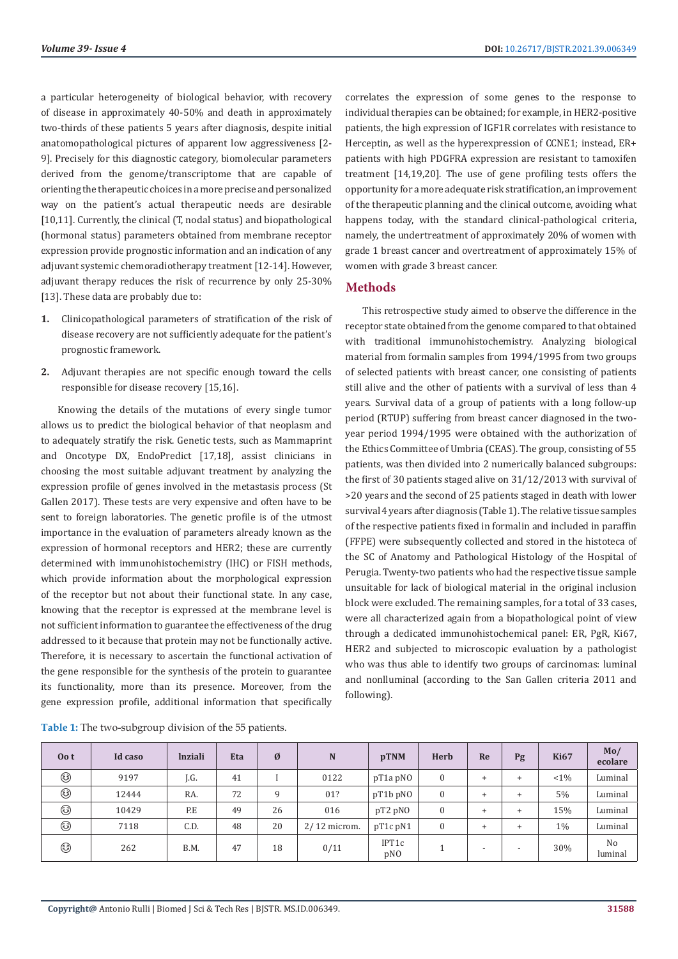a particular heterogeneity of biological behavior, with recovery of disease in approximately 40-50% and death in approximately two-thirds of these patients 5 years after diagnosis, despite initial anatomopathological pictures of apparent low aggressiveness [2- 9]. Precisely for this diagnostic category, biomolecular parameters derived from the genome/transcriptome that are capable of orienting the therapeutic choices in a more precise and personalized way on the patient's actual therapeutic needs are desirable [10,11]. Currently, the clinical (T, nodal status) and biopathological (hormonal status) parameters obtained from membrane receptor expression provide prognostic information and an indication of any adjuvant systemic chemoradiotherapy treatment [12-14]. However, adjuvant therapy reduces the risk of recurrence by only 25-30% [13]. These data are probably due to:

- **1.** Clinicopathological parameters of stratification of the risk of disease recovery are not sufficiently adequate for the patient's prognostic framework.
- **2.** Adjuvant therapies are not specific enough toward the cells responsible for disease recovery [15,16].

Knowing the details of the mutations of every single tumor allows us to predict the biological behavior of that neoplasm and to adequately stratify the risk. Genetic tests, such as Mammaprint and Oncotype DX, EndoPredict [17,18], assist clinicians in choosing the most suitable adjuvant treatment by analyzing the expression profile of genes involved in the metastasis process (St Gallen 2017). These tests are very expensive and often have to be sent to foreign laboratories. The genetic profile is of the utmost importance in the evaluation of parameters already known as the expression of hormonal receptors and HER2; these are currently determined with immunohistochemistry (IHC) or FISH methods, which provide information about the morphological expression of the receptor but not about their functional state. In any case, knowing that the receptor is expressed at the membrane level is not sufficient information to guarantee the effectiveness of the drug addressed to it because that protein may not be functionally active. Therefore, it is necessary to ascertain the functional activation of the gene responsible for the synthesis of the protein to guarantee its functionality, more than its presence. Moreover, from the gene expression profile, additional information that specifically

correlates the expression of some genes to the response to individual therapies can be obtained; for example, in HER2-positive patients, the high expression of IGF1R correlates with resistance to Herceptin, as well as the hyperexpression of CCNE1; instead, ER+ patients with high PDGFRA expression are resistant to tamoxifen treatment [14,19,20]. The use of gene profiling tests offers the opportunity for a more adequate risk stratification, an improvement of the therapeutic planning and the clinical outcome, avoiding what happens today, with the standard clinical-pathological criteria, namely, the undertreatment of approximately 20% of women with grade 1 breast cancer and overtreatment of approximately 15% of women with grade 3 breast cancer.

# **Methods**

This retrospective study aimed to observe the difference in the receptor state obtained from the genome compared to that obtained with traditional immunohistochemistry. Analyzing biological material from formalin samples from 1994/1995 from two groups of selected patients with breast cancer, one consisting of patients still alive and the other of patients with a survival of less than 4 years. Survival data of a group of patients with a long follow-up period (RTUP) suffering from breast cancer diagnosed in the twoyear period 1994/1995 were obtained with the authorization of the Ethics Committee of Umbria (CEAS). The group, consisting of 55 patients, was then divided into 2 numerically balanced subgroups: the first of 30 patients staged alive on 31/12/2013 with survival of >20 years and the second of 25 patients staged in death with lower survival 4 years after diagnosis (Table 1). The relative tissue samples of the respective patients fixed in formalin and included in paraffin (FFPE) were subsequently collected and stored in the histoteca of the SC of Anatomy and Pathological Histology of the Hospital of Perugia. Twenty-two patients who had the respective tissue sample unsuitable for lack of biological material in the original inclusion block were excluded. The remaining samples, for a total of 33 cases, were all characterized again from a biopathological point of view through a dedicated immunohistochemical panel: ER, PgR, Ki67, HER2 and subjected to microscopic evaluation by a pathologist who was thus able to identify two groups of carcinomas: luminal and nonlluminal (according to the San Gallen criteria 2011 and following).

| Oo t | Id caso | <b>Inziali</b> | Eta | Ø  | N              | <b>pTNM</b>  | Herb             | Re                       | Pg    | <b>Ki67</b> | Mo/<br>ecolare            |
|------|---------|----------------|-----|----|----------------|--------------|------------------|--------------------------|-------|-------------|---------------------------|
| ۵    | 9197    | J.G.           | 41  |    | 0122           | pT1a pN0     | $\bf{0}$         | $\ddot{}$                | $^+$  | $<1\%$      | Luminal                   |
| ۵    | 12444   | RA.            | 72  | 9  | 01?            | pT1b pNO     | $\bf{0}$         | $\ddot{}$                | $\pm$ | 5%          | Luminal                   |
| ۵    | 10429   | P.E            | 49  | 26 | 016            | pT2 pNO      | $\boldsymbol{0}$ | $\ddot{}$                | $^+$  | 15%         | Luminal                   |
| ۵    | 7118    | C.D.           | 48  | 20 | $2/12$ microm. | pT1c pN1     | $\boldsymbol{0}$ | $\ddot{}$                | ÷.    | $1\%$       | Luminal                   |
| ۵    | 262     | B.M.           | 47  | 18 | 0/11           | IPT1c<br>pNO |                  | $\overline{\phantom{a}}$ |       | 30%         | N <sub>o</sub><br>luminal |

**Table 1:** The two-subgroup division of the 55 patients.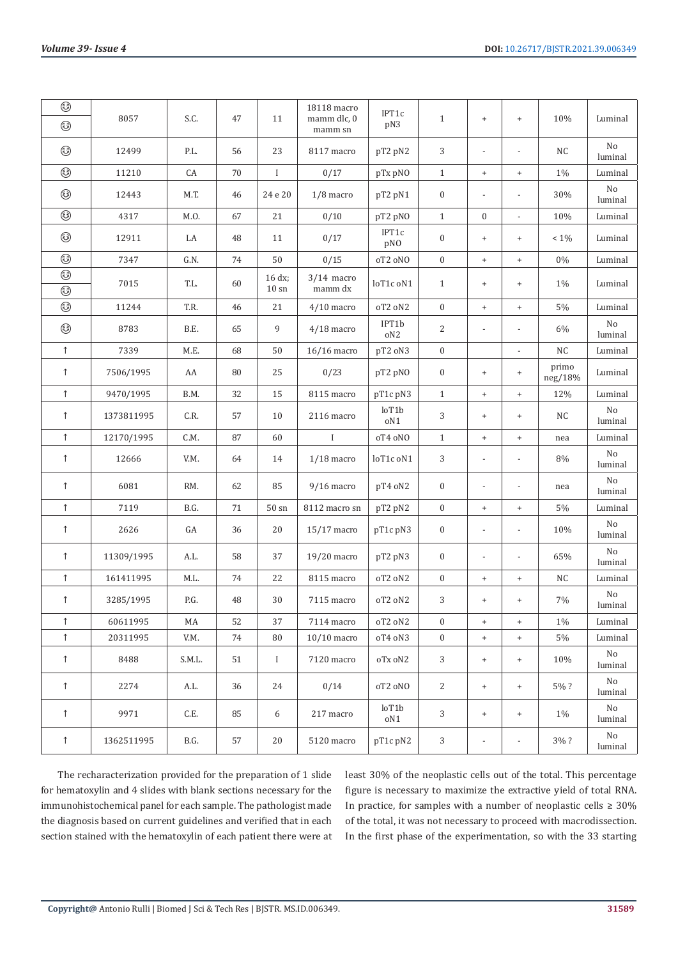| ۵          |            |        |    |                           | 18118 macro             | IPT1c        |                  |                                  |                                  |                  |                     |
|------------|------------|--------|----|---------------------------|-------------------------|--------------|------------------|----------------------------------|----------------------------------|------------------|---------------------|
| ۵          | 8057       | S.C.   | 47 | $11\,$                    | mamm dlc, 0<br>mamm sn  | pN3          | $1\,$            | $\ddot{}$                        | $^{+}$                           | $10\%$           | Luminal             |
| ٨          | 12499      | P.L.   | 56 | 23                        | 8117 macro              | pT2 pN2      | 3                | $\overline{a}$                   | $\overline{\phantom{a}}$         | NC               | No<br>luminal       |
| ٨          | 11210      | CA     | 70 | $\bf{I}$                  | 0/17                    | pTx pNO      | $\mathbf{1}$     | $\ddot{}$                        | $^{\mathrm{+}}$                  | $1\%$            | Luminal             |
| ۵          | 12443      | M.T.   | 46 | 24 e 20                   | $1/8$ macro             | pT2 pN1      | $\boldsymbol{0}$ |                                  | $\overline{\phantom{a}}$         | 30%              | $\rm No$<br>luminal |
| ٨          | 4317       | M.O.   | 67 | 21                        | 0/10                    | pT2 pNO      | $\mathbf{1}$     | $\boldsymbol{0}$                 | $\overline{\phantom{a}}$         | $10\%$           | Luminal             |
| ۵          | 12911      | LA     | 48 | 11                        | 0/17                    | IPT1c<br>pNO | $\boldsymbol{0}$ | $\begin{array}{c} + \end{array}$ | $^{+}$                           | $< 1\%$          | Luminal             |
| ۵          | 7347       | G.N.   | 74 | 50                        | 0/15                    | oT2 oNO      | $\boldsymbol{0}$ | $\ddot{}$                        | $\begin{array}{c} + \end{array}$ | $0\%$            | Luminal             |
| ۵<br>۵     | 7015       | T.L.   | 60 | 16 dx;<br>$10 \text{ sn}$ | $3/14$ macro<br>mamm dx | loT1c oN1    | $\mathbf{1}$     | $\ddot{}$                        | $^{+}$                           | $1\%$            | Luminal             |
| ۵          | 11244      | T.R.   | 46 | 21                        | $4/10$ macro            | oT2 oN2      | $\boldsymbol{0}$ | $\ddot{}$                        | $\begin{array}{c} + \end{array}$ | $5\%$            | Luminal             |
| ٨          | 8783       | B.E.   | 65 | 9                         | $4/18$ macro            | IPT1b<br>oN2 | 2                | $\overline{a}$                   | $\overline{\phantom{a}}$         | 6%               | No<br>luminal       |
| $\uparrow$ | 7339       | M.E.   | 68 | 50                        | $16/16$ macro           | pT2 oN3      | $\boldsymbol{0}$ |                                  | $\overline{\phantom{a}}$         | $\rm{NC}$        | Luminal             |
| $\uparrow$ | 7506/1995  | AA     | 80 | 25                        | 0/23                    | pT2 pNO      | $\boldsymbol{0}$ | $\ddot{}$                        | $^{+}$                           | primo<br>neg/18% | Luminal             |
| $\uparrow$ | 9470/1995  | B.M.   | 32 | 15                        | 8115 macro              | pT1c pN3     | $\mathbf{1}$     | $\ddot{}$                        | $\begin{array}{c} + \end{array}$ | 12%              | Luminal             |
| $\uparrow$ | 1373811995 | C.R.   | 57 | 10                        | 2116 macro              | loT1b<br>oN1 | 3                | $\begin{array}{c} + \end{array}$ | $\begin{array}{c} + \end{array}$ | NC               | No<br>luminal       |
| $\uparrow$ | 12170/1995 | C.M.   | 87 | 60                        | $\mathbf I$             | oT4 oNO      | $\mathbf{1}$     | $\ddot{}$                        | $\begin{array}{c} + \end{array}$ | nea              | Luminal             |
| $\uparrow$ | 12666      | V.M.   | 64 | 14                        | $1/18$ macro            | loT1c oN1    | 3                | $\frac{1}{2}$                    | $\overline{\phantom{a}}$         | 8%               | No<br>luminal       |
| $\uparrow$ | 6081       | RM.    | 62 | 85                        | $9/16$ macro            | pT4 oN2      | $\boldsymbol{0}$ | $\frac{1}{2}$                    | $\overline{\phantom{a}}$         | nea              | No<br>luminal       |
| $\uparrow$ | 7119       | B.G.   | 71 | $50 \text{ sn}$           | 8112 macro sn           | pT2 pN2      | $\boldsymbol{0}$ | $\ddot{}$                        | $^{\mathrm{+}}$                  | $5\%$            | Luminal             |
| $\uparrow$ | 2626       | GA     | 36 | $20\,$                    | $15/17$ macro           | pT1c pN3     | $\boldsymbol{0}$ | $\frac{1}{2}$                    | $\overline{\phantom{0}}$         | 10%              | $\rm No$<br>luminal |
| $\uparrow$ | 11309/1995 | A.L.   | 58 | 37                        | 19/20 macro             | pT2 pN3      | $\boldsymbol{0}$ | $\frac{1}{2}$                    | $\overline{\phantom{a}}$         | 65%              | $\rm No$<br>luminal |
| $\uparrow$ | 161411995  | M.L.   | 74 | 22                        | 8115 macro              | oT2 oN2      | $\boldsymbol{0}$ | $\begin{array}{c} + \end{array}$ | $\begin{array}{c} + \end{array}$ | $\rm{NC}$        | Luminal             |
| $\uparrow$ | 3285/1995  | P.G.   | 48 | 30                        | 7115 macro              | oT2 oN2      | 3                | $\ddot{}$                        | $\begin{array}{c} + \end{array}$ | $7\%$            | $\rm No$<br>luminal |
| $\uparrow$ | 60611995   | MA     | 52 | 37                        | 7114 macro              | oT2 oN2      | $\boldsymbol{0}$ | $\begin{array}{c} + \end{array}$ | $\begin{array}{c} + \end{array}$ | 1%               | Luminal             |
| $\uparrow$ | 20311995   | V.M.   | 74 | 80                        | $10/10$ macro           | oT4 oN3      | $\boldsymbol{0}$ | $^{+}$                           | $\begin{array}{c} + \end{array}$ | $5\%$            | Luminal             |
| $\uparrow$ | 8488       | S.M.L. | 51 | $\mathbf I$               | 7120 macro              | oTx oN2      | $\sqrt{3}$       | $\begin{array}{c} + \end{array}$ | $^{+}$                           | 10%              | No<br>luminal       |
| $\uparrow$ | 2274       | A.L.   | 36 | 24                        | 0/14                    | oT2 oNO      | 2                | $\begin{array}{c} + \end{array}$ | $^{+}$                           | 5%?              | No<br>luminal       |
| $\uparrow$ | 9971       | C.E.   | 85 | 6                         | 217 macro               | loT1b<br>oN1 | 3                | $^{\mathrm{+}}$                  | $^{+}$                           | 1%               | No<br>luminal       |
| $\uparrow$ | 1362511995 | B.G.   | 57 | 20                        | 5120 macro              | pT1c pN2     | 3                |                                  | $\overline{\phantom{a}}$         | 3%?              | No<br>luminal       |

The recharacterization provided for the preparation of 1 slide for hematoxylin and 4 slides with blank sections necessary for the immunohistochemical panel for each sample. The pathologist made the diagnosis based on current guidelines and verified that in each section stained with the hematoxylin of each patient there were at least 30% of the neoplastic cells out of the total. This percentage figure is necessary to maximize the extractive yield of total RNA. In practice, for samples with a number of neoplastic cells  $\geq 30\%$ of the total, it was not necessary to proceed with macrodissection. In the first phase of the experimentation, so with the 33 starting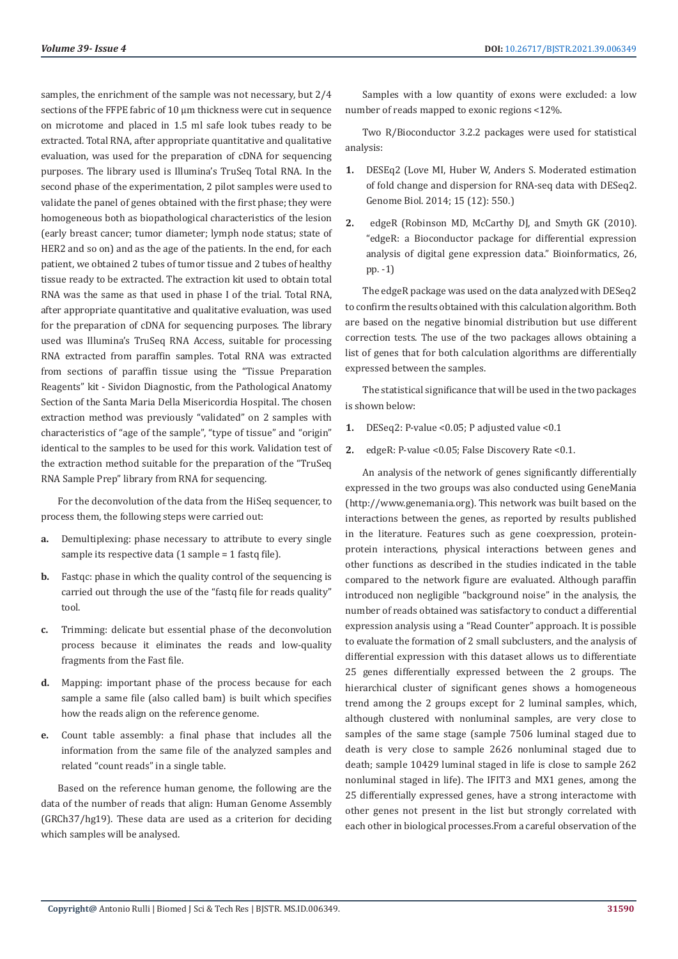samples, the enrichment of the sample was not necessary, but 2/4 sections of the FFPE fabric of 10 µm thickness were cut in sequence on microtome and placed in 1.5 ml safe look tubes ready to be extracted. Total RNA, after appropriate quantitative and qualitative evaluation, was used for the preparation of cDNA for sequencing purposes. The library used is Illumina's TruSeq Total RNA. In the second phase of the experimentation, 2 pilot samples were used to validate the panel of genes obtained with the first phase; they were homogeneous both as biopathological characteristics of the lesion (early breast cancer; tumor diameter; lymph node status; state of HER2 and so on) and as the age of the patients. In the end, for each patient, we obtained 2 tubes of tumor tissue and 2 tubes of healthy tissue ready to be extracted. The extraction kit used to obtain total RNA was the same as that used in phase I of the trial. Total RNA, after appropriate quantitative and qualitative evaluation, was used for the preparation of cDNA for sequencing purposes. The library used was Illumina's TruSeq RNA Access, suitable for processing RNA extracted from paraffin samples. Total RNA was extracted from sections of paraffin tissue using the "Tissue Preparation Reagents" kit - Sividon Diagnostic, from the Pathological Anatomy Section of the Santa Maria Della Misericordia Hospital. The chosen extraction method was previously "validated" on 2 samples with characteristics of "age of the sample", "type of tissue" and "origin" identical to the samples to be used for this work. Validation test of the extraction method suitable for the preparation of the "TruSeq RNA Sample Prep" library from RNA for sequencing.

For the deconvolution of the data from the HiSeq sequencer, to process them, the following steps were carried out:

- **a.** Demultiplexing: phase necessary to attribute to every single sample its respective data (1 sample = 1 fastq file).
- **b.** Fastgc: phase in which the quality control of the sequencing is carried out through the use of the "fastq file for reads quality" tool.
- **c.** Trimming: delicate but essential phase of the deconvolution process because it eliminates the reads and low-quality fragments from the Fast file.
- **d.** Mapping: important phase of the process because for each sample a same file (also called bam) is built which specifies how the reads align on the reference genome.
- **e.** Count table assembly: a final phase that includes all the information from the same file of the analyzed samples and related "count reads" in a single table.

Based on the reference human genome, the following are the data of the number of reads that align: Human Genome Assembly (GRCh37/hg19). These data are used as a criterion for deciding which samples will be analysed.

Samples with a low quantity of exons were excluded: a low number of reads mapped to exonic regions <12%.

Two R/Bioconductor 3.2.2 packages were used for statistical analysis:

- **1.** DESEq2 (Love MI, Huber W, Anders S. Moderated estimation of fold change and dispersion for RNA-seq data with DESeq2. Genome Biol. 2014; 15 (12): 550.)
- **2.** edgeR (Robinson MD, McCarthy DJ, and Smyth GK (2010). "edgeR: a Bioconductor package for differential expression analysis of digital gene expression data." Bioinformatics, 26, pp. -1)

The edgeR package was used on the data analyzed with DESeq2 to confirm the results obtained with this calculation algorithm. Both are based on the negative binomial distribution but use different correction tests. The use of the two packages allows obtaining a list of genes that for both calculation algorithms are differentially expressed between the samples.

The statistical significance that will be used in the two packages is shown below:

- **1.** DESeq2: P-value <0.05; P adjusted value <0.1
- **2.** edgeR: P-value <0.05; False Discovery Rate <0.1.

An analysis of the network of genes significantly differentially expressed in the two groups was also conducted using GeneMania (http://www.genemania.org). This network was built based on the interactions between the genes, as reported by results published in the literature. Features such as gene coexpression, proteinprotein interactions, physical interactions between genes and other functions as described in the studies indicated in the table compared to the network figure are evaluated. Although paraffin introduced non negligible "background noise" in the analysis, the number of reads obtained was satisfactory to conduct a differential expression analysis using a "Read Counter" approach. It is possible to evaluate the formation of 2 small subclusters, and the analysis of differential expression with this dataset allows us to differentiate 25 genes differentially expressed between the 2 groups. The hierarchical cluster of significant genes shows a homogeneous trend among the 2 groups except for 2 luminal samples, which, although clustered with nonluminal samples, are very close to samples of the same stage (sample 7506 luminal staged due to death is very close to sample 2626 nonluminal staged due to death; sample 10429 luminal staged in life is close to sample 262 nonluminal staged in life). The IFIT3 and MX1 genes, among the 25 differentially expressed genes, have a strong interactome with other genes not present in the list but strongly correlated with each other in biological processes.From a careful observation of the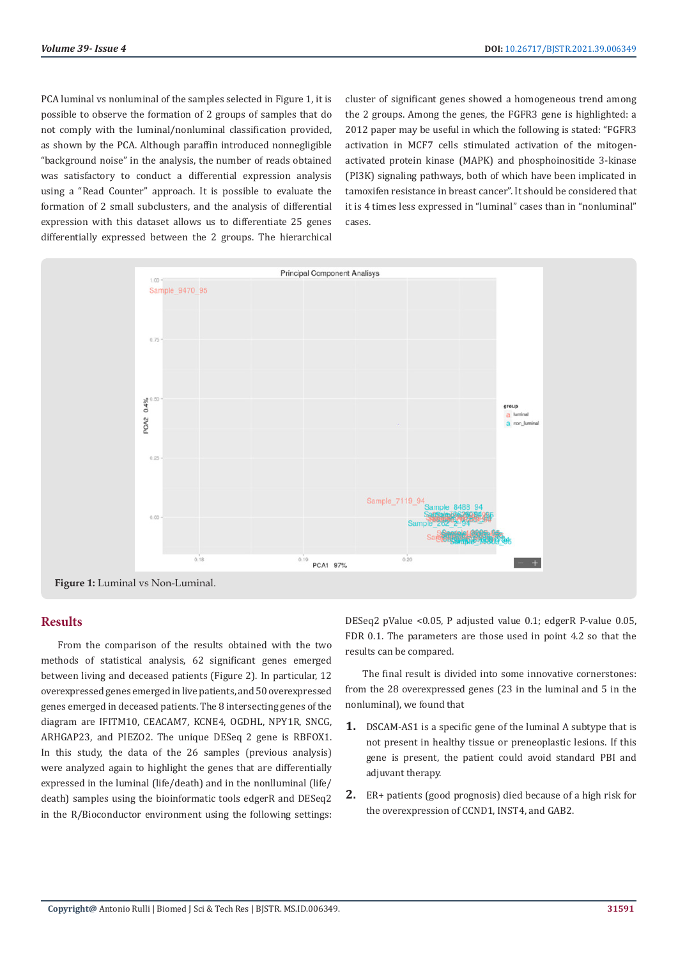PCA luminal vs nonluminal of the samples selected in Figure 1, it is possible to observe the formation of 2 groups of samples that do not comply with the luminal/nonluminal classification provided, as shown by the PCA. Although paraffin introduced nonnegligible "background noise" in the analysis, the number of reads obtained was satisfactory to conduct a differential expression analysis using a "Read Counter" approach. It is possible to evaluate the formation of 2 small subclusters, and the analysis of differential expression with this dataset allows us to differentiate 25 genes differentially expressed between the 2 groups. The hierarchical

cluster of significant genes showed a homogeneous trend among the 2 groups. Among the genes, the FGFR3 gene is highlighted: a 2012 paper may be useful in which the following is stated: "FGFR3 activation in MCF7 cells stimulated activation of the mitogenactivated protein kinase (MAPK) and phosphoinositide 3-kinase (PI3K) signaling pathways, both of which have been implicated in tamoxifen resistance in breast cancer". It should be considered that it is 4 times less expressed in "luminal" cases than in "nonluminal" cases.



**Figure 1:** Luminal vs Non-Luminal.

# **Results**

From the comparison of the results obtained with the two methods of statistical analysis, 62 significant genes emerged between living and deceased patients (Figure 2). In particular, 12 overexpressed genes emerged in live patients, and 50 overexpressed genes emerged in deceased patients. The 8 intersecting genes of the diagram are IFITM10, CEACAM7, KCNE4, OGDHL, NPY1R, SNCG, ARHGAP23, and PIEZO2. The unique DESeq 2 gene is RBFOX1. In this study, the data of the 26 samples (previous analysis) were analyzed again to highlight the genes that are differentially expressed in the luminal (life/death) and in the nonlluminal (life/ death) samples using the bioinformatic tools edgerR and DESeq2 in the R/Bioconductor environment using the following settings:

DESeq2 pValue <0.05, P adjusted value 0.1; edgerR P-value 0.05, FDR 0.1. The parameters are those used in point 4.2 so that the results can be compared.

The final result is divided into some innovative cornerstones: from the 28 overexpressed genes (23 in the luminal and 5 in the nonluminal), we found that

- **1.** DSCAM-AS1 is a specific gene of the luminal A subtype that is not present in healthy tissue or preneoplastic lesions. If this gene is present, the patient could avoid standard PBI and adjuvant therapy.
- **2.** ER+ patients (good prognosis) died because of a high risk for the overexpression of CCND1, INST4, and GAB2.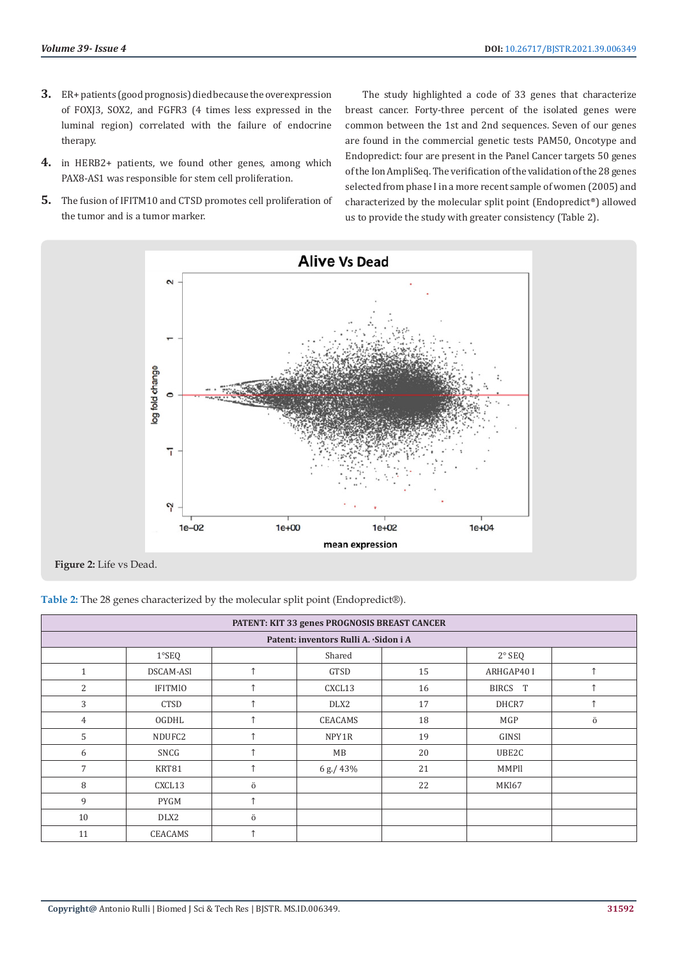- **3.** ER+ patients (good prognosis) died because the overexpression of FOXJ3, SOX2, and FGFR3 (4 times less expressed in the luminal region) correlated with the failure of endocrine therapy.
- **4.** in HERB2+ patients, we found other genes, among which PAX8-AS1 was responsible for stem cell proliferation.
- **5.** The fusion of IFITM10 and CTSD promotes cell proliferation of the tumor and is a tumor marker.

The study highlighted a code of 33 genes that characterize breast cancer. Forty-three percent of the isolated genes were common between the 1st and 2nd sequences. Seven of our genes are found in the commercial genetic tests PAM50, Oncotype and Endopredict: four are present in the Panel Cancer targets 50 genes of the Ion AmpliSeq. The verification of the validation of the 28 genes selected from phase I in a more recent sample of women (2005) and characterized by the molecular split point (Endopredict®) allowed us to provide the study with greater consistency (Table 2).



**Figure 2:** Life vs Dead.

**Table 2:** The 28 genes characterized by the molecular split point (Endopredict®).

| PATENT: KIT 33 genes PROGNOSIS BREAST CANCER |                |             |              |    |            |            |  |  |  |  |
|----------------------------------------------|----------------|-------------|--------------|----|------------|------------|--|--|--|--|
| Patent: inventors Rulli A. Sidon i A         |                |             |              |    |            |            |  |  |  |  |
|                                              | $1°$ SEQ       |             | Shared       |    | $2°$ SEQ   |            |  |  |  |  |
| $\mathbf{1}$                                 | DSCAM-ASI      | $\uparrow$  | GTSD         | 15 | ARHGAP40 I | $\uparrow$ |  |  |  |  |
| $\overline{c}$                               | <b>IFITMIO</b> | $\uparrow$  | CXCL13       | 16 | BIRCS T    |            |  |  |  |  |
| 3                                            | CTSD           | $\uparrow$  | DLX2         | 17 | DHCR7      | 个          |  |  |  |  |
| 4                                            | OGDHL          | $\triangle$ | CEACAMS      | 18 | MGP        | ö          |  |  |  |  |
| 5                                            | NDUFC2         | 个           | NPY1R        | 19 | GINSI      |            |  |  |  |  |
| 6                                            | SNCG           |             | MB           | 20 | UBE2C      |            |  |  |  |  |
| 7                                            | KRT81          | $\uparrow$  | 6 g./ $43\%$ | 21 | MMPII      |            |  |  |  |  |
| 8                                            | CXCL13         | ö           |              | 22 | MKI67      |            |  |  |  |  |
| 9                                            | PYGM           | $\uparrow$  |              |    |            |            |  |  |  |  |
| 10                                           | DLX2           | ö           |              |    |            |            |  |  |  |  |
| 11                                           | CEACAMS        | 个           |              |    |            |            |  |  |  |  |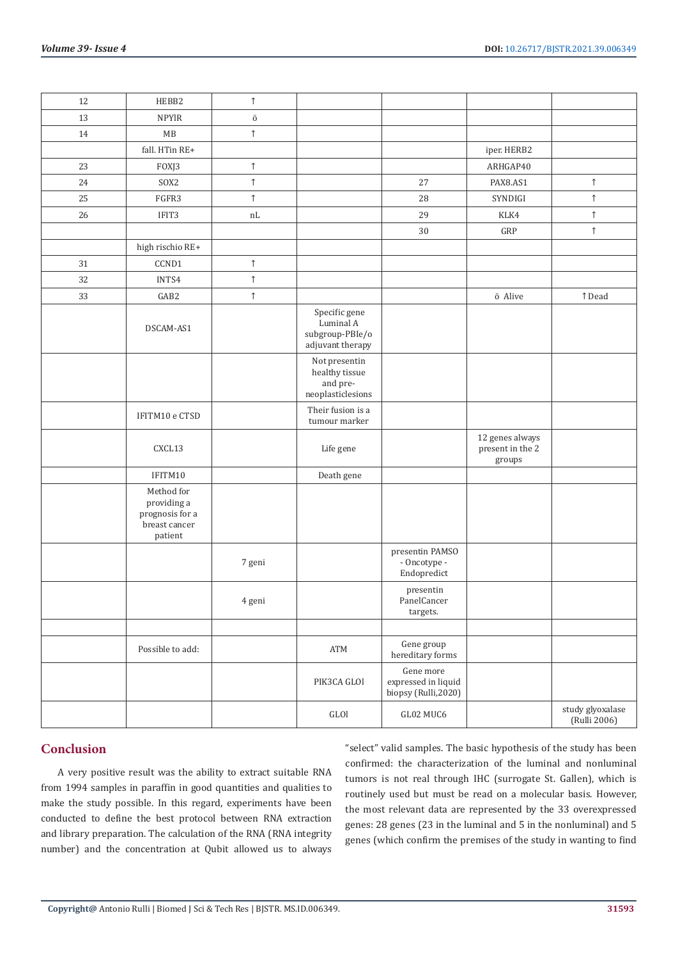| 12 | HEBB2                                                                    | $\uparrow$ |                                                                   |                                                         |                                               |                                  |
|----|--------------------------------------------------------------------------|------------|-------------------------------------------------------------------|---------------------------------------------------------|-----------------------------------------------|----------------------------------|
| 13 | <b>NPYIR</b>                                                             | Ö          |                                                                   |                                                         |                                               |                                  |
| 14 | MB                                                                       | $\uparrow$ |                                                                   |                                                         |                                               |                                  |
|    | fall. HTin RE+                                                           |            |                                                                   |                                                         | iper. HERB2                                   |                                  |
| 23 | FOXJ3                                                                    | $\uparrow$ |                                                                   |                                                         | ARHGAP40                                      |                                  |
| 24 | SOX2                                                                     | $\uparrow$ |                                                                   | 27                                                      | PAX8.AS1                                      | $\uparrow$                       |
| 25 | FGFR3                                                                    | $\uparrow$ |                                                                   | 28                                                      | SYNDIGI                                       | $\uparrow$                       |
| 26 | IFIT3                                                                    | nL         |                                                                   | 29                                                      | KLK4                                          | $\uparrow$                       |
|    |                                                                          |            |                                                                   | $30\,$                                                  | GRP                                           | $\uparrow$                       |
|    | high rischio RE+                                                         |            |                                                                   |                                                         |                                               |                                  |
| 31 | CCND1                                                                    | $\uparrow$ |                                                                   |                                                         |                                               |                                  |
| 32 | INTS4                                                                    | $\uparrow$ |                                                                   |                                                         |                                               |                                  |
| 33 | GAB2                                                                     | $\uparrow$ |                                                                   |                                                         | ö Alive                                       | ↑ Dead                           |
|    | DSCAM-AS1                                                                |            | Specific gene<br>Luminal A<br>subgroup-PBIe/o<br>adjuvant therapy |                                                         |                                               |                                  |
|    |                                                                          |            | Not presentin<br>healthy tissue<br>and pre-<br>neoplasticlesions  |                                                         |                                               |                                  |
|    | IFITM10 e CTSD                                                           |            | Their fusion is a<br>tumour marker                                |                                                         |                                               |                                  |
|    | CXCL13                                                                   |            | Life gene                                                         |                                                         | 12 genes always<br>present in the 2<br>groups |                                  |
|    | IFITM10                                                                  |            | Death gene                                                        |                                                         |                                               |                                  |
|    | Method for<br>providing a<br>prognosis for a<br>breast cancer<br>patient |            |                                                                   |                                                         |                                               |                                  |
|    |                                                                          | 7 geni     |                                                                   | presentin PAMSO<br>- Oncotype -<br>Endopredict          |                                               |                                  |
|    |                                                                          | 4 geni     |                                                                   | presentin<br>PanelCancer<br>targets.                    |                                               |                                  |
|    |                                                                          |            |                                                                   |                                                         |                                               |                                  |
|    | Possible to add:                                                         |            | $\operatorname{ATM}$                                              | Gene group<br>hereditary forms                          |                                               |                                  |
|    |                                                                          |            | PIK3CA GLOI                                                       | Gene more<br>expressed in liquid<br>biopsy (Rulli,2020) |                                               |                                  |
|    |                                                                          |            | $\operatorname{GLOl}$                                             | GL02 MUC6                                               |                                               | study glyoxalase<br>(Rulli 2006) |

#### **Conclusion**

A very positive result was the ability to extract suitable RNA from 1994 samples in paraffin in good quantities and qualities to make the study possible. In this regard, experiments have been conducted to define the best protocol between RNA extraction and library preparation. The calculation of the RNA (RNA integrity number) and the concentration at Qubit allowed us to always

"select" valid samples. The basic hypothesis of the study has been confirmed: the characterization of the luminal and nonluminal tumors is not real through IHC (surrogate St. Gallen), which is routinely used but must be read on a molecular basis. However, the most relevant data are represented by the 33 overexpressed genes: 28 genes (23 in the luminal and 5 in the nonluminal) and 5 genes (which confirm the premises of the study in wanting to find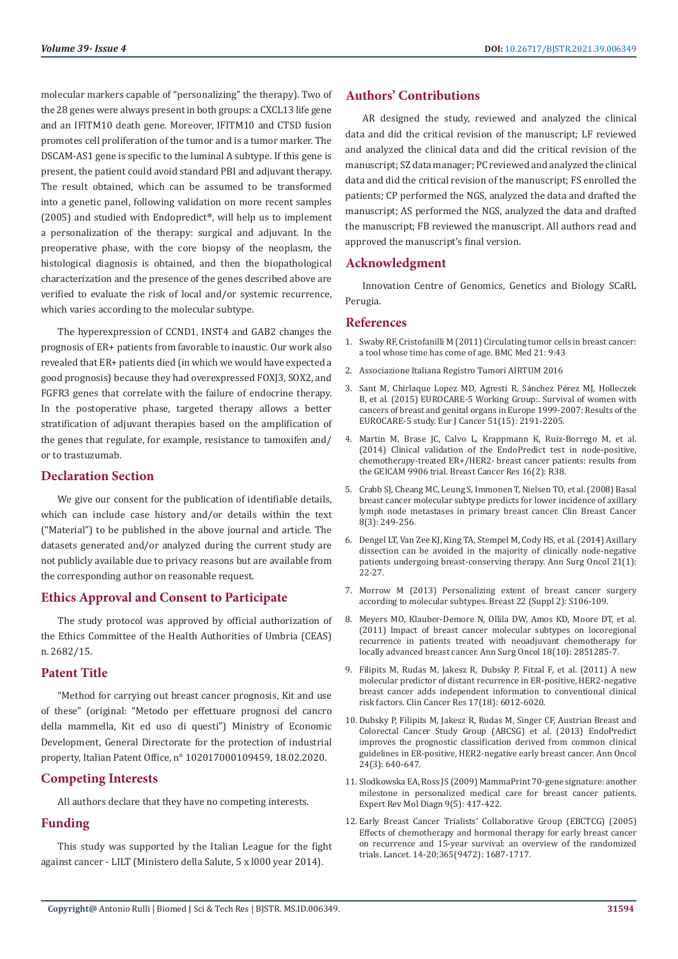molecular markers capable of "personalizing" the therapy). Two of the 28 genes were always present in both groups: a CXCL13 life gene and an IFITM10 death gene. Moreover, IFITM10 and CTSD fusion promotes cell proliferation of the tumor and is a tumor marker. The DSCAM-AS1 gene is specific to the luminal A subtype. If this gene is present, the patient could avoid standard PBI and adjuvant therapy. The result obtained, which can be assumed to be transformed into a genetic panel, following validation on more recent samples (2005) and studied with Endopredict®, will help us to implement a personalization of the therapy: surgical and adjuvant. In the preoperative phase, with the core biopsy of the neoplasm, the histological diagnosis is obtained, and then the biopathological characterization and the presence of the genes described above are verified to evaluate the risk of local and/or systemic recurrence, which varies according to the molecular subtype.

The hyperexpression of CCND1, INST4 and GAB2 changes the prognosis of ER+ patients from favorable to inaustic. Our work also revealed that ER+ patients died (in which we would have expected a good prognosis) because they had overexpressed FOXJ3, SOX2, and FGFR3 genes that correlate with the failure of endocrine therapy. In the postoperative phase, targeted therapy allows a better stratification of adjuvant therapies based on the amplification of the genes that regulate, for example, resistance to tamoxifen and/ or to trastuzumab.

#### **Declaration Section**

We give our consent for the publication of identifiable details, which can include case history and/or details within the text ("Material") to be published in the above journal and article. The datasets generated and/or analyzed during the current study are not publicly available due to privacy reasons but are available from the corresponding author on reasonable request.

# **Ethics Approval and Consent to Participate**

The study protocol was approved by official authorization of the Ethics Committee of the Health Authorities of Umbria (CEAS) n. 2682/15.

#### **Patent Title**

"Method for carrying out breast cancer prognosis, Kit and use of these" (original: "Metodo per effettuare prognosi del cancro della mammella, Kit ed uso di questi") Ministry of Economic Development, General Directorate for the protection of industrial property, Italian Patent Office, n° 102017000109459, 18.02.2020.

# **Competing Interests**

All authors declare that they have no competing interests.

# **Funding**

This study was supported by the Italian League for the fight against cancer - LILT (Ministero della Salute, 5 x l000 year 2014).

#### **Authors' Contributions**

AR designed the study, reviewed and analyzed the clinical data and did the critical revision of the manuscript; LF reviewed and analyzed the clinical data and did the critical revision of the manuscript; SZ data manager; PC reviewed and analyzed the clinical data and did the critical revision of the manuscript; FS enrolled the patients; CP performed the NGS, analyzed the data and drafted the manuscript; AS performed the NGS, analyzed the data and drafted the manuscript; FB reviewed the manuscript. All authors read and approved the manuscript's final version.

#### **Acknowledgment**

Innovation Centre of Genomics, Genetics and Biology SCaRL Perugia.

#### **References**

- 1. [Swaby RF, Cristofanilli M \(2011\) Circulating tumor cells in breast cancer:](https://bmcmedicine.biomedcentral.com/articles/10.1186/1741-7015-9-43) [a tool whose time has come of age. BMC Med 21: 9:43](https://bmcmedicine.biomedcentral.com/articles/10.1186/1741-7015-9-43)
- 2. Associazione Italiana Registro Tumori AIRTUM 2016
- 3. [Sant M, Chirlaque Lopez MD, Agresti R, S](https://pubmed.ncbi.nlm.nih.gov/26421822/)ánchez Pérez MJ, Holleczek [B, et al. \(2015\) EUROCARE-5 Working Group:. Survival of women with](https://pubmed.ncbi.nlm.nih.gov/26421822/) [cancers of breast and genital organs in Europe 1999-2007: Results of the](https://pubmed.ncbi.nlm.nih.gov/26421822/) [EUROCARE-5 study. Eur J Cancer 51\(15\): 2191-2205.](https://pubmed.ncbi.nlm.nih.gov/26421822/)
- 4. [Martin M, Brase JC, Calvo L, Krappmann K, Ruiz-Borrego M, et al.](https://pubmed.ncbi.nlm.nih.gov/24725534/) [\(2014\) Clinical validation of the EndoPredict test in node-positive,](https://pubmed.ncbi.nlm.nih.gov/24725534/) [chemotherapy-treated ER+/HER2- breast cancer patients: results from](https://pubmed.ncbi.nlm.nih.gov/24725534/) [the GEICAM 9906 trial. Breast Cancer Res 16\(2\): R38.](https://pubmed.ncbi.nlm.nih.gov/24725534/)
- 5. [Crabb SJ, Cheang MC, Leung S, Immonen T, Nielsen TO, et al. \(2008\) Basal](https://www.researchgate.net/publication/51423756_Basal_Breast_Cancer_Molecular_Subtype_Predicts_for_Lower_Incidence_of_Axillary_Lymph_Node_Metastases_in_Primary_Breast_Cancer) [breast cancer molecular subtype predicts for lower incidence of axillary](https://www.researchgate.net/publication/51423756_Basal_Breast_Cancer_Molecular_Subtype_Predicts_for_Lower_Incidence_of_Axillary_Lymph_Node_Metastases_in_Primary_Breast_Cancer) [lymph node metastases in primary breast cancer. Clin Breast Cancer](https://www.researchgate.net/publication/51423756_Basal_Breast_Cancer_Molecular_Subtype_Predicts_for_Lower_Incidence_of_Axillary_Lymph_Node_Metastases_in_Primary_Breast_Cancer) [8\(3\): 249-256.](https://www.researchgate.net/publication/51423756_Basal_Breast_Cancer_Molecular_Subtype_Predicts_for_Lower_Incidence_of_Axillary_Lymph_Node_Metastases_in_Primary_Breast_Cancer)
- 6. [Dengel LT, Van Zee KJ, King TA, Stempel M, Cody HS, et al. \(2014\) Axillary](https://pubmed.ncbi.nlm.nih.gov/23975314/) [dissection can be avoided in the majority of clinically node-negative](https://pubmed.ncbi.nlm.nih.gov/23975314/) [patients undergoing breast-conserving therapy. Ann Surg Oncol 21\(1\):](https://pubmed.ncbi.nlm.nih.gov/23975314/) [22-27.](https://pubmed.ncbi.nlm.nih.gov/23975314/)
- 7. [Morrow M \(2013\) Personalizing extent of breast cancer surgery](https://pubmed.ncbi.nlm.nih.gov/24074769/) [according to molecular subtypes. Breast 22 \(Suppl 2\): S106-109.](https://pubmed.ncbi.nlm.nih.gov/24074769/)
- 8. [Meyers MO, Klauber-Demore N, Ollila DW, Amos KD, Moore DT, et al.](https://pubmed.ncbi.nlm.nih.gov/21442348/) [\(2011\) Impact of breast cancer molecular subtypes on locoregional](https://pubmed.ncbi.nlm.nih.gov/21442348/) [recurrence in patients treated with neoadjuvant chemotherapy for](https://pubmed.ncbi.nlm.nih.gov/21442348/) [locally advanced breast cancer. Ann Surg Oncol 18\(10\): 2851285-7.](https://pubmed.ncbi.nlm.nih.gov/21442348/)
- 9. [Filipits M, Rudas M, Jakesz R, Dubsky P, Fitzal F, et al. \(2011\) A new](https://pubmed.ncbi.nlm.nih.gov/21807638/) [molecular predictor of distant recurrence in ER-positive, HER2-negative](https://pubmed.ncbi.nlm.nih.gov/21807638/) [breast cancer adds independent information to conventional clinical](https://pubmed.ncbi.nlm.nih.gov/21807638/) [risk factors. Clin Cancer Res 17\(18\): 6012-6020.](https://pubmed.ncbi.nlm.nih.gov/21807638/)
- 10. [Dubsky P, Filipits M, Jakesz R, Rudas M, Singer CF, Austrian Breast and](https://pubmed.ncbi.nlm.nih.gov/23035151/) [Colorectal Cancer Study Group \(ABCSG\) et al. \(2013\) EndoPredict](https://pubmed.ncbi.nlm.nih.gov/23035151/) [improves the prognostic classification derived from common clinical](https://pubmed.ncbi.nlm.nih.gov/23035151/) [guidelines in ER-positive, HER2-negative early breast cancer. Ann Oncol](https://pubmed.ncbi.nlm.nih.gov/23035151/) [24\(3\): 640-647.](https://pubmed.ncbi.nlm.nih.gov/23035151/)
- 11. [Slodkowska EA, Ross JS \(2009\) MammaPrint 70-gene signature: another](https://pubmed.ncbi.nlm.nih.gov/19580427/) [milestone in personalized medical care for breast cancer patients.](https://pubmed.ncbi.nlm.nih.gov/19580427/) [Expert Rev Mol Diagn 9\(5\): 417-422.](https://pubmed.ncbi.nlm.nih.gov/19580427/)
- 12. [Early Breast Cancer Trialists' Collaborative Group \(EBCTCG\) \(2005\)](https://pubmed.ncbi.nlm.nih.gov/15894097/) [Effects of chemotherapy and hormonal therapy for early breast cancer](https://pubmed.ncbi.nlm.nih.gov/15894097/) [on recurrence and 15-year survival: an overview of the randomized](https://pubmed.ncbi.nlm.nih.gov/15894097/) [trials. Lancet. 14-20;365\(9472\): 1687-1717.](https://pubmed.ncbi.nlm.nih.gov/15894097/)